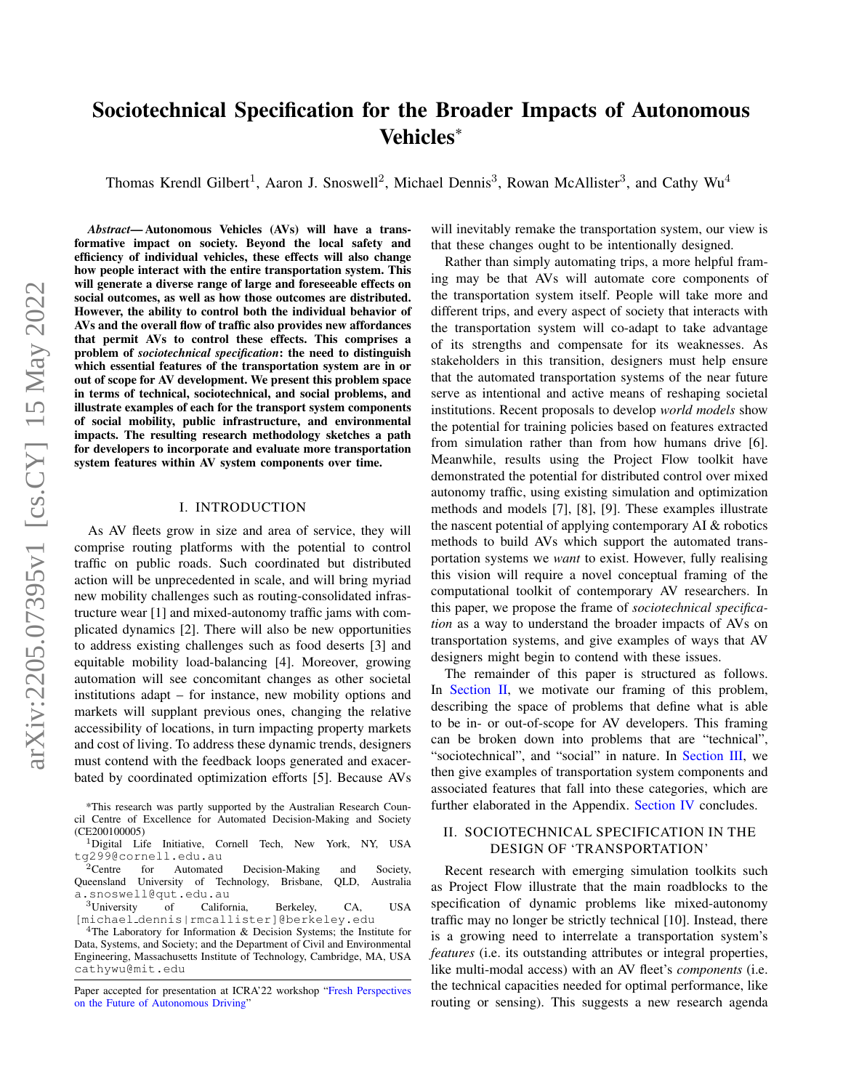# Sociotechnical Specification for the Broader Impacts of Autonomous Vehicles˚

Thomas Krendl Gilbert<sup>1</sup>, Aaron J. Snoswell<sup>2</sup>, Michael Dennis<sup>3</sup>, Rowan McAllister<sup>3</sup>, and Cathy Wu<sup>4</sup>

*Abstract*— Autonomous Vehicles (AVs) will have a transformative impact on society. Beyond the local safety and efficiency of individual vehicles, these effects will also change how people interact with the entire transportation system. This will generate a diverse range of large and foreseeable effects on social outcomes, as well as how those outcomes are distributed. However, the ability to control both the individual behavior of AVs and the overall flow of traffic also provides new affordances that permit AVs to control these effects. This comprises a problem of *sociotechnical specification*: the need to distinguish which essential features of the transportation system are in or out of scope for AV development. We present this problem space in terms of technical, sociotechnical, and social problems, and illustrate examples of each for the transport system components of social mobility, public infrastructure, and environmental impacts. The resulting research methodology sketches a path for developers to incorporate and evaluate more transportation system features within AV system components over time.

# I. INTRODUCTION

As AV fleets grow in size and area of service, they will comprise routing platforms with the potential to control traffic on public roads. Such coordinated but distributed action will be unprecedented in scale, and will bring myriad new mobility challenges such as routing-consolidated infrastructure wear [1] and mixed-autonomy traffic jams with complicated dynamics [2]. There will also be new opportunities to address existing challenges such as food deserts [3] and equitable mobility load-balancing [4]. Moreover, growing automation will see concomitant changes as other societal institutions adapt – for instance, new mobility options and markets will supplant previous ones, changing the relative accessibility of locations, in turn impacting property markets and cost of living. To address these dynamic trends, designers must contend with the feedback loops generated and exacerbated by coordinated optimization efforts [5]. Because AVs will inevitably remake the transportation system, our view is that these changes ought to be intentionally designed.

Rather than simply automating trips, a more helpful framing may be that AVs will automate core components of the transportation system itself. People will take more and different trips, and every aspect of society that interacts with the transportation system will co-adapt to take advantage of its strengths and compensate for its weaknesses. As stakeholders in this transition, designers must help ensure that the automated transportation systems of the near future serve as intentional and active means of reshaping societal institutions. Recent proposals to develop *world models* show the potential for training policies based on features extracted from simulation rather than from how humans drive [6]. Meanwhile, results using the Project Flow toolkit have demonstrated the potential for distributed control over mixed autonomy traffic, using existing simulation and optimization methods and models [7], [8], [9]. These examples illustrate the nascent potential of applying contemporary AI & robotics methods to build AVs which support the automated transportation systems we *want* to exist. However, fully realising this vision will require a novel conceptual framing of the computational toolkit of contemporary AV researchers. In this paper, we propose the frame of *sociotechnical specification* as a way to understand the broader impacts of AVs on transportation systems, and give examples of ways that AV designers might begin to contend with these issues.

The remainder of this paper is structured as follows. In [Section II,](#page-0-0) we motivate our framing of this problem, describing the space of problems that define what is able to be in- or out-of-scope for AV developers. This framing can be broken down into problems that are "technical", "sociotechnical", and "social" in nature. In [Section III,](#page-1-0) we then give examples of transportation system components and associated features that fall into these categories, which are further elaborated in the Appendix. [Section IV](#page-5-0) concludes.

# <span id="page-0-0"></span>II. SOCIOTECHNICAL SPECIFICATION IN THE DESIGN OF 'TRANSPORTATION'

Recent research with emerging simulation toolkits such as Project Flow illustrate that the main roadblocks to the specification of dynamic problems like mixed-autonomy traffic may no longer be strictly technical [10]. Instead, there is a growing need to interrelate a transportation system's *features* (i.e. its outstanding attributes or integral properties, like multi-modal access) with an AV fleet's *components* (i.e. the technical capacities needed for optimal performance, like routing or sensing). This suggests a new research agenda

<sup>\*</sup>This research was partly supported by the Australian Research Council Centre of Excellence for Automated Decision-Making and Society (CE200100005)

<sup>&</sup>lt;sup>1</sup>Digital Life Initiative, Cornell Tech, New York, NY, USA tg299@cornell.edu.au<br><sup>2</sup>Centre for Automated

for Automated Decision-Making and Society, Queensland University of Technology, Brisbane, QLD, Australia a.snoswell@qut.edu.au

<sup>3</sup>University of California, Berkeley, CA, USA [michael dennis|rmcallister]@berkeley.edu

<sup>&</sup>lt;sup>4</sup>The Laboratory for Information  $\&$  Decision Systems; the Institute for Data, Systems, and Society; and the Department of Civil and Environmental Engineering, Massachusetts Institute of Technology, Cambridge, MA, USA cathywu@mit.edu

Paper accepted for presentation at ICRA'22 workshop ["Fresh Perspectives](https://www.icra2022av.org/) [on the Future of Autonomous Driving"](https://www.icra2022av.org/)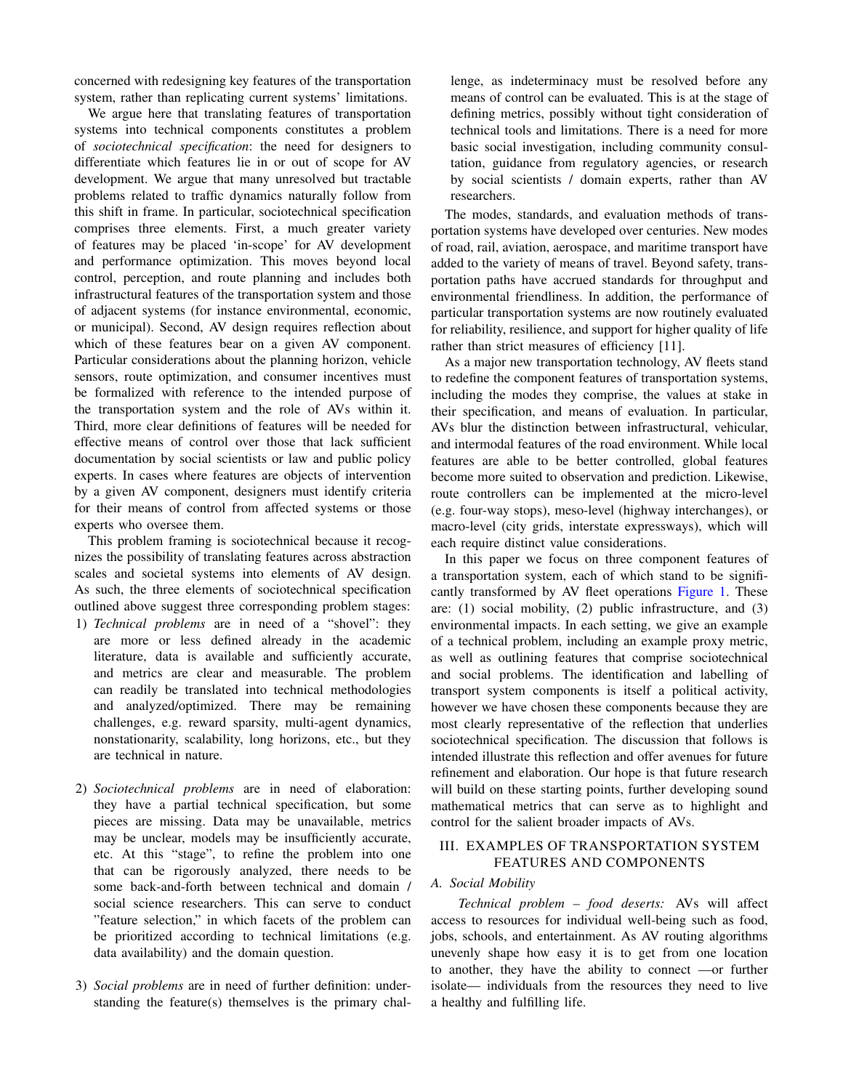concerned with redesigning key features of the transportation system, rather than replicating current systems' limitations.

We argue here that translating features of transportation systems into technical components constitutes a problem of *sociotechnical specification*: the need for designers to differentiate which features lie in or out of scope for AV development. We argue that many unresolved but tractable problems related to traffic dynamics naturally follow from this shift in frame. In particular, sociotechnical specification comprises three elements. First, a much greater variety of features may be placed 'in-scope' for AV development and performance optimization. This moves beyond local control, perception, and route planning and includes both infrastructural features of the transportation system and those of adjacent systems (for instance environmental, economic, or municipal). Second, AV design requires reflection about which of these features bear on a given AV component. Particular considerations about the planning horizon, vehicle sensors, route optimization, and consumer incentives must be formalized with reference to the intended purpose of the transportation system and the role of AVs within it. Third, more clear definitions of features will be needed for effective means of control over those that lack sufficient documentation by social scientists or law and public policy experts. In cases where features are objects of intervention by a given AV component, designers must identify criteria for their means of control from affected systems or those experts who oversee them.

This problem framing is sociotechnical because it recognizes the possibility of translating features across abstraction scales and societal systems into elements of AV design. As such, the three elements of sociotechnical specification outlined above suggest three corresponding problem stages:

- 1) *Technical problems* are in need of a "shovel": they are more or less defined already in the academic literature, data is available and sufficiently accurate, and metrics are clear and measurable. The problem can readily be translated into technical methodologies and analyzed/optimized. There may be remaining challenges, e.g. reward sparsity, multi-agent dynamics, nonstationarity, scalability, long horizons, etc., but they are technical in nature.
- 2) *Sociotechnical problems* are in need of elaboration: they have a partial technical specification, but some pieces are missing. Data may be unavailable, metrics may be unclear, models may be insufficiently accurate, etc. At this "stage", to refine the problem into one that can be rigorously analyzed, there needs to be some back-and-forth between technical and domain / social science researchers. This can serve to conduct "feature selection," in which facets of the problem can be prioritized according to technical limitations (e.g. data availability) and the domain question.
- 3) *Social problems* are in need of further definition: understanding the feature(s) themselves is the primary chal-

lenge, as indeterminacy must be resolved before any means of control can be evaluated. This is at the stage of defining metrics, possibly without tight consideration of technical tools and limitations. There is a need for more basic social investigation, including community consultation, guidance from regulatory agencies, or research by social scientists / domain experts, rather than AV researchers.

The modes, standards, and evaluation methods of transportation systems have developed over centuries. New modes of road, rail, aviation, aerospace, and maritime transport have added to the variety of means of travel. Beyond safety, transportation paths have accrued standards for throughput and environmental friendliness. In addition, the performance of particular transportation systems are now routinely evaluated for reliability, resilience, and support for higher quality of life rather than strict measures of efficiency [11].

As a major new transportation technology, AV fleets stand to redefine the component features of transportation systems, including the modes they comprise, the values at stake in their specification, and means of evaluation. In particular, AVs blur the distinction between infrastructural, vehicular, and intermodal features of the road environment. While local features are able to be better controlled, global features become more suited to observation and prediction. Likewise, route controllers can be implemented at the micro-level (e.g. four-way stops), meso-level (highway interchanges), or macro-level (city grids, interstate expressways), which will each require distinct value considerations.

In this paper we focus on three component features of a transportation system, each of which stand to be significantly transformed by AV fleet operations [Figure 1.](#page-2-0) These are: (1) social mobility, (2) public infrastructure, and (3) environmental impacts. In each setting, we give an example of a technical problem, including an example proxy metric, as well as outlining features that comprise sociotechnical and social problems. The identification and labelling of transport system components is itself a political activity, however we have chosen these components because they are most clearly representative of the reflection that underlies sociotechnical specification. The discussion that follows is intended illustrate this reflection and offer avenues for future refinement and elaboration. Our hope is that future research will build on these starting points, further developing sound mathematical metrics that can serve as to highlight and control for the salient broader impacts of AVs.

# <span id="page-1-0"></span>III. EXAMPLES OF TRANSPORTATION SYSTEM FEATURES AND COMPONENTS

## *A. Social Mobility*

*Technical problem – food deserts:* AVs will affect access to resources for individual well-being such as food, jobs, schools, and entertainment. As AV routing algorithms unevenly shape how easy it is to get from one location to another, they have the ability to connect —or further isolate— individuals from the resources they need to live a healthy and fulfilling life.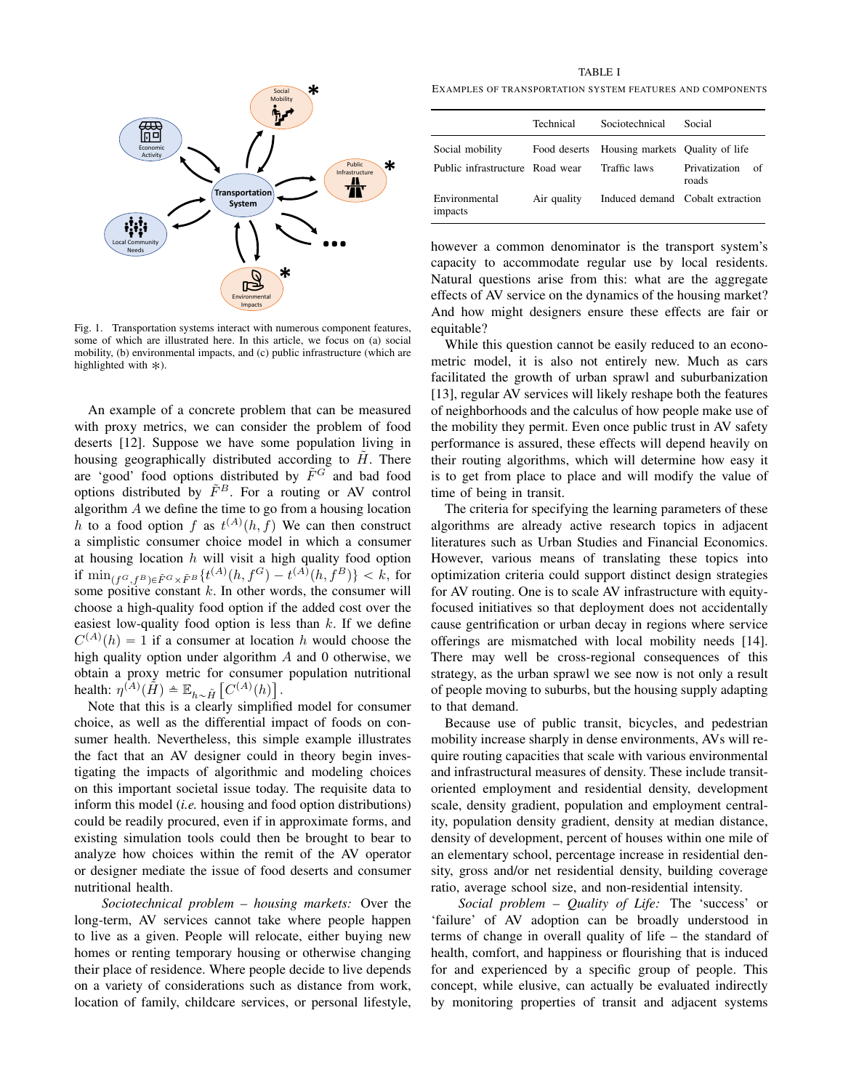

<span id="page-2-0"></span>Fig. 1. Transportation systems interact with numerous component features, some of which are illustrated here. In this article, we focus on (a) social mobility, (b) environmental impacts, and (c) public infrastructure (which are highlighted with  $\ast$ ).

An example of a concrete problem that can be measured with proxy metrics, we can consider the problem of food deserts [12]. Suppose we have some population living in housing geographically distributed according to  $H$ . There are 'good' food options distributed by  $\tilde{F}^G$  and bad food options distributed by  $\tilde{F}^B$ . For a routing or AV control algorithm A we define the time to go from a housing location h to a food option f as  $t^{(A)}(h, f)$  We can then construct a simplistic consumer choice model in which a consumer at housing location  $h$  will visit a high quality food option if  $\min_{(f^G, f^B)\in \tilde{F}^G\times \tilde{F}^B} \{t^{(A)}(h, f^G) - t^{(A)}(h, f^B)\} < k$ , for some positive constant  $k$ . In other words, the consumer will choose a high-quality food option if the added cost over the easiest low-quality food option is less than  $k$ . If we define  $C^{(A)}(h) = 1$  if a consumer at location h would choose the high quality option under algorithm  $A$  and 0 otherwise, we obtain a proxy metric for consumer population nutritional health:  $\eta^{(\tilde{A})}(\tilde{H}) \triangleq \mathbb{E}_{h \sim \tilde{H}}\left[C^{(A)}(h)\right]$ .

Note that this is a clearly simplified model for consumer choice, as well as the differential impact of foods on consumer health. Nevertheless, this simple example illustrates the fact that an AV designer could in theory begin investigating the impacts of algorithmic and modeling choices on this important societal issue today. The requisite data to inform this model (*i.e.* housing and food option distributions) could be readily procured, even if in approximate forms, and existing simulation tools could then be brought to bear to analyze how choices within the remit of the AV operator or designer mediate the issue of food deserts and consumer nutritional health.

*Sociotechnical problem – housing markets:* Over the long-term, AV services cannot take where people happen to live as a given. People will relocate, either buying new homes or renting temporary housing or otherwise changing their place of residence. Where people decide to live depends on a variety of considerations such as distance from work, location of family, childcare services, or personal lifestyle,

TABLE I

EXAMPLES OF TRANSPORTATION SYSTEM FEATURES AND COMPONENTS

|                                 | Technical   | Sociotechnical                               | Social                       |
|---------------------------------|-------------|----------------------------------------------|------------------------------|
| Social mobility                 |             | Food deserts Housing markets Quality of life |                              |
| Public infrastructure Road wear |             | Traffic laws                                 | Privatization<br>of<br>roads |
| Environmental<br>impacts        | Air quality | Induced demand Cobalt extraction             |                              |

however a common denominator is the transport system's capacity to accommodate regular use by local residents. Natural questions arise from this: what are the aggregate effects of AV service on the dynamics of the housing market? And how might designers ensure these effects are fair or equitable?

While this question cannot be easily reduced to an econometric model, it is also not entirely new. Much as cars facilitated the growth of urban sprawl and suburbanization [13], regular AV services will likely reshape both the features of neighborhoods and the calculus of how people make use of the mobility they permit. Even once public trust in AV safety performance is assured, these effects will depend heavily on their routing algorithms, which will determine how easy it is to get from place to place and will modify the value of time of being in transit.

The criteria for specifying the learning parameters of these algorithms are already active research topics in adjacent literatures such as Urban Studies and Financial Economics. However, various means of translating these topics into optimization criteria could support distinct design strategies for AV routing. One is to scale AV infrastructure with equityfocused initiatives so that deployment does not accidentally cause gentrification or urban decay in regions where service offerings are mismatched with local mobility needs [14]. There may well be cross-regional consequences of this strategy, as the urban sprawl we see now is not only a result of people moving to suburbs, but the housing supply adapting to that demand.

Because use of public transit, bicycles, and pedestrian mobility increase sharply in dense environments, AVs will require routing capacities that scale with various environmental and infrastructural measures of density. These include transitoriented employment and residential density, development scale, density gradient, population and employment centrality, population density gradient, density at median distance, density of development, percent of houses within one mile of an elementary school, percentage increase in residential density, gross and/or net residential density, building coverage ratio, average school size, and non-residential intensity.

*Social problem – Quality of Life:* The 'success' or 'failure' of AV adoption can be broadly understood in terms of change in overall quality of life – the standard of health, comfort, and happiness or flourishing that is induced for and experienced by a specific group of people. This concept, while elusive, can actually be evaluated indirectly by monitoring properties of transit and adjacent systems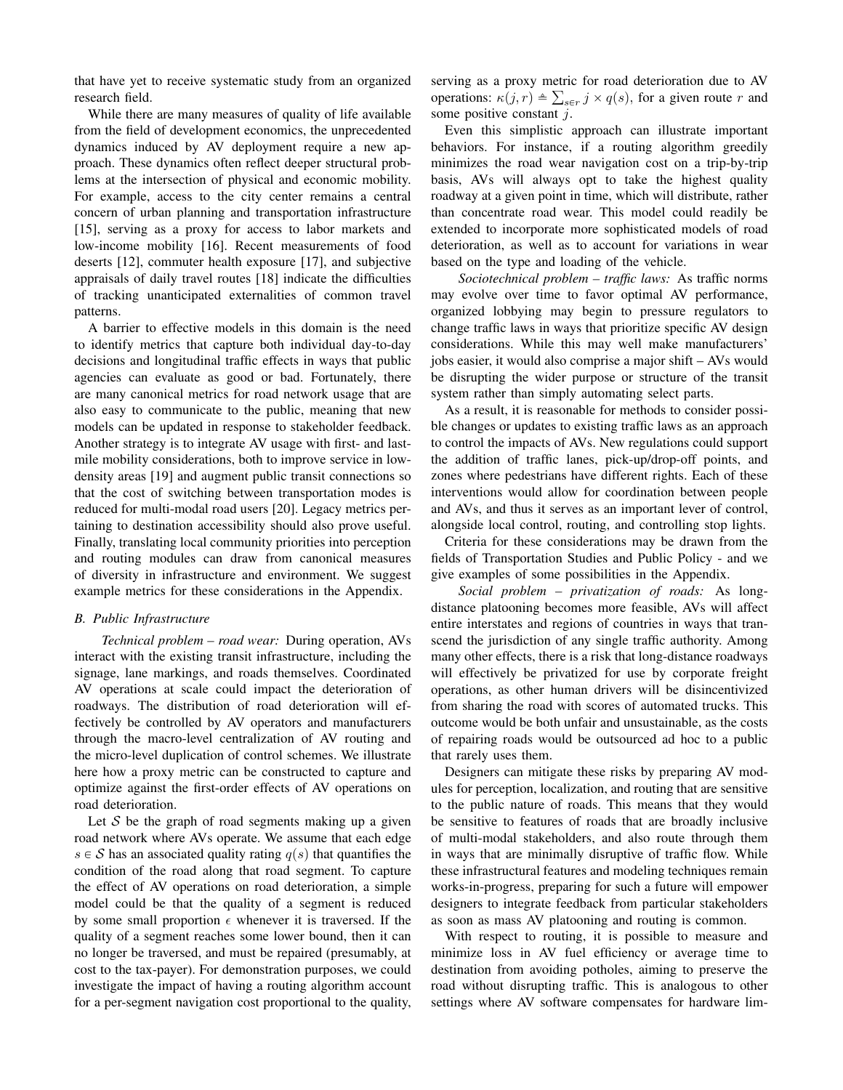that have yet to receive systematic study from an organized research field.

While there are many measures of quality of life available from the field of development economics, the unprecedented dynamics induced by AV deployment require a new approach. These dynamics often reflect deeper structural problems at the intersection of physical and economic mobility. For example, access to the city center remains a central concern of urban planning and transportation infrastructure [15], serving as a proxy for access to labor markets and low-income mobility [16]. Recent measurements of food deserts [12], commuter health exposure [17], and subjective appraisals of daily travel routes [18] indicate the difficulties of tracking unanticipated externalities of common travel patterns.

A barrier to effective models in this domain is the need to identify metrics that capture both individual day-to-day decisions and longitudinal traffic effects in ways that public agencies can evaluate as good or bad. Fortunately, there are many canonical metrics for road network usage that are also easy to communicate to the public, meaning that new models can be updated in response to stakeholder feedback. Another strategy is to integrate AV usage with first- and lastmile mobility considerations, both to improve service in lowdensity areas [19] and augment public transit connections so that the cost of switching between transportation modes is reduced for multi-modal road users [20]. Legacy metrics pertaining to destination accessibility should also prove useful. Finally, translating local community priorities into perception and routing modules can draw from canonical measures of diversity in infrastructure and environment. We suggest example metrics for these considerations in the Appendix.

### *B. Public Infrastructure*

*Technical problem – road wear:* During operation, AVs interact with the existing transit infrastructure, including the signage, lane markings, and roads themselves. Coordinated AV operations at scale could impact the deterioration of roadways. The distribution of road deterioration will effectively be controlled by AV operators and manufacturers through the macro-level centralization of AV routing and the micro-level duplication of control schemes. We illustrate here how a proxy metric can be constructed to capture and optimize against the first-order effects of AV operations on road deterioration.

Let  $S$  be the graph of road segments making up a given road network where AVs operate. We assume that each edge  $s \in S$  has an associated quality rating  $q(s)$  that quantifies the condition of the road along that road segment. To capture the effect of AV operations on road deterioration, a simple model could be that the quality of a segment is reduced by some small proportion  $\epsilon$  whenever it is traversed. If the quality of a segment reaches some lower bound, then it can no longer be traversed, and must be repaired (presumably, at cost to the tax-payer). For demonstration purposes, we could investigate the impact of having a routing algorithm account for a per-segment navigation cost proportional to the quality,

serving as a proxy metric for road deterioration due to AV ř operations:  $\kappa(j, r) \triangleq \sum_{s \in r} j \times q(s)$ , for a given route r and some positive constant  $j$ .

Even this simplistic approach can illustrate important behaviors. For instance, if a routing algorithm greedily minimizes the road wear navigation cost on a trip-by-trip basis, AVs will always opt to take the highest quality roadway at a given point in time, which will distribute, rather than concentrate road wear. This model could readily be extended to incorporate more sophisticated models of road deterioration, as well as to account for variations in wear based on the type and loading of the vehicle.

*Sociotechnical problem – traffic laws:* As traffic norms may evolve over time to favor optimal AV performance, organized lobbying may begin to pressure regulators to change traffic laws in ways that prioritize specific AV design considerations. While this may well make manufacturers' jobs easier, it would also comprise a major shift – AVs would be disrupting the wider purpose or structure of the transit system rather than simply automating select parts.

As a result, it is reasonable for methods to consider possible changes or updates to existing traffic laws as an approach to control the impacts of AVs. New regulations could support the addition of traffic lanes, pick-up/drop-off points, and zones where pedestrians have different rights. Each of these interventions would allow for coordination between people and AVs, and thus it serves as an important lever of control, alongside local control, routing, and controlling stop lights.

Criteria for these considerations may be drawn from the fields of Transportation Studies and Public Policy - and we give examples of some possibilities in the Appendix.

*Social problem – privatization of roads:* As longdistance platooning becomes more feasible, AVs will affect entire interstates and regions of countries in ways that transcend the jurisdiction of any single traffic authority. Among many other effects, there is a risk that long-distance roadways will effectively be privatized for use by corporate freight operations, as other human drivers will be disincentivized from sharing the road with scores of automated trucks. This outcome would be both unfair and unsustainable, as the costs of repairing roads would be outsourced ad hoc to a public that rarely uses them.

Designers can mitigate these risks by preparing AV modules for perception, localization, and routing that are sensitive to the public nature of roads. This means that they would be sensitive to features of roads that are broadly inclusive of multi-modal stakeholders, and also route through them in ways that are minimally disruptive of traffic flow. While these infrastructural features and modeling techniques remain works-in-progress, preparing for such a future will empower designers to integrate feedback from particular stakeholders as soon as mass AV platooning and routing is common.

With respect to routing, it is possible to measure and minimize loss in AV fuel efficiency or average time to destination from avoiding potholes, aiming to preserve the road without disrupting traffic. This is analogous to other settings where AV software compensates for hardware lim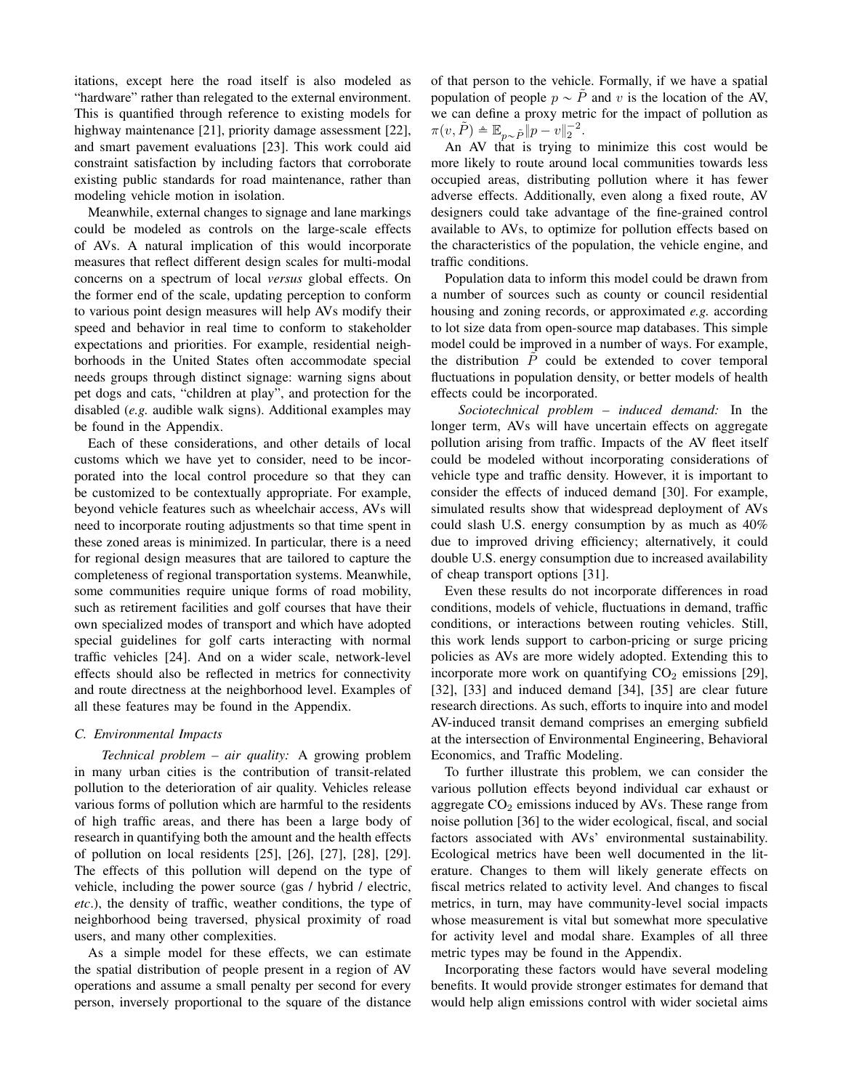itations, except here the road itself is also modeled as "hardware" rather than relegated to the external environment. This is quantified through reference to existing models for highway maintenance [21], priority damage assessment [22], and smart pavement evaluations [23]. This work could aid constraint satisfaction by including factors that corroborate existing public standards for road maintenance, rather than modeling vehicle motion in isolation.

Meanwhile, external changes to signage and lane markings could be modeled as controls on the large-scale effects of AVs. A natural implication of this would incorporate measures that reflect different design scales for multi-modal concerns on a spectrum of local *versus* global effects. On the former end of the scale, updating perception to conform to various point design measures will help AVs modify their speed and behavior in real time to conform to stakeholder expectations and priorities. For example, residential neighborhoods in the United States often accommodate special needs groups through distinct signage: warning signs about pet dogs and cats, "children at play", and protection for the disabled (*e.g.* audible walk signs). Additional examples may be found in the Appendix.

Each of these considerations, and other details of local customs which we have yet to consider, need to be incorporated into the local control procedure so that they can be customized to be contextually appropriate. For example, beyond vehicle features such as wheelchair access, AVs will need to incorporate routing adjustments so that time spent in these zoned areas is minimized. In particular, there is a need for regional design measures that are tailored to capture the completeness of regional transportation systems. Meanwhile, some communities require unique forms of road mobility, such as retirement facilities and golf courses that have their own specialized modes of transport and which have adopted special guidelines for golf carts interacting with normal traffic vehicles [24]. And on a wider scale, network-level effects should also be reflected in metrics for connectivity and route directness at the neighborhood level. Examples of all these features may be found in the Appendix.

#### *C. Environmental Impacts*

*Technical problem – air quality:* A growing problem in many urban cities is the contribution of transit-related pollution to the deterioration of air quality. Vehicles release various forms of pollution which are harmful to the residents of high traffic areas, and there has been a large body of research in quantifying both the amount and the health effects of pollution on local residents [25], [26], [27], [28], [29]. The effects of this pollution will depend on the type of vehicle, including the power source (gas / hybrid / electric, *etc*.), the density of traffic, weather conditions, the type of neighborhood being traversed, physical proximity of road users, and many other complexities.

As a simple model for these effects, we can estimate the spatial distribution of people present in a region of AV operations and assume a small penalty per second for every person, inversely proportional to the square of the distance of that person to the vehicle. Formally, if we have a spatial population of people  $p \sim P$  and v is the location of the AV, we can define a proxy metric for the impact of pollution as  $\pi(v, \tilde{P}) \triangleq \mathbb{E}_{p \sim \tilde{P}} \|\tilde{p} - v\|_2^{-2}.$ 

An AV that is trying to minimize this cost would be more likely to route around local communities towards less occupied areas, distributing pollution where it has fewer adverse effects. Additionally, even along a fixed route, AV designers could take advantage of the fine-grained control available to AVs, to optimize for pollution effects based on the characteristics of the population, the vehicle engine, and traffic conditions.

Population data to inform this model could be drawn from a number of sources such as county or council residential housing and zoning records, or approximated *e.g.* according to lot size data from open-source map databases. This simple model could be improved in a number of ways. For example, the distribution  $P$  could be extended to cover temporal fluctuations in population density, or better models of health effects could be incorporated.

*Sociotechnical problem – induced demand:* In the longer term, AVs will have uncertain effects on aggregate pollution arising from traffic. Impacts of the AV fleet itself could be modeled without incorporating considerations of vehicle type and traffic density. However, it is important to consider the effects of induced demand [30]. For example, simulated results show that widespread deployment of AVs could slash U.S. energy consumption by as much as 40% due to improved driving efficiency; alternatively, it could double U.S. energy consumption due to increased availability of cheap transport options [31].

Even these results do not incorporate differences in road conditions, models of vehicle, fluctuations in demand, traffic conditions, or interactions between routing vehicles. Still, this work lends support to carbon-pricing or surge pricing policies as AVs are more widely adopted. Extending this to incorporate more work on quantifying  $CO<sub>2</sub>$  emissions [29], [32], [33] and induced demand [34], [35] are clear future research directions. As such, efforts to inquire into and model AV-induced transit demand comprises an emerging subfield at the intersection of Environmental Engineering, Behavioral Economics, and Traffic Modeling.

To further illustrate this problem, we can consider the various pollution effects beyond individual car exhaust or aggregate  $CO<sub>2</sub>$  emissions induced by AVs. These range from noise pollution [36] to the wider ecological, fiscal, and social factors associated with AVs' environmental sustainability. Ecological metrics have been well documented in the literature. Changes to them will likely generate effects on fiscal metrics related to activity level. And changes to fiscal metrics, in turn, may have community-level social impacts whose measurement is vital but somewhat more speculative for activity level and modal share. Examples of all three metric types may be found in the Appendix.

Incorporating these factors would have several modeling benefits. It would provide stronger estimates for demand that would help align emissions control with wider societal aims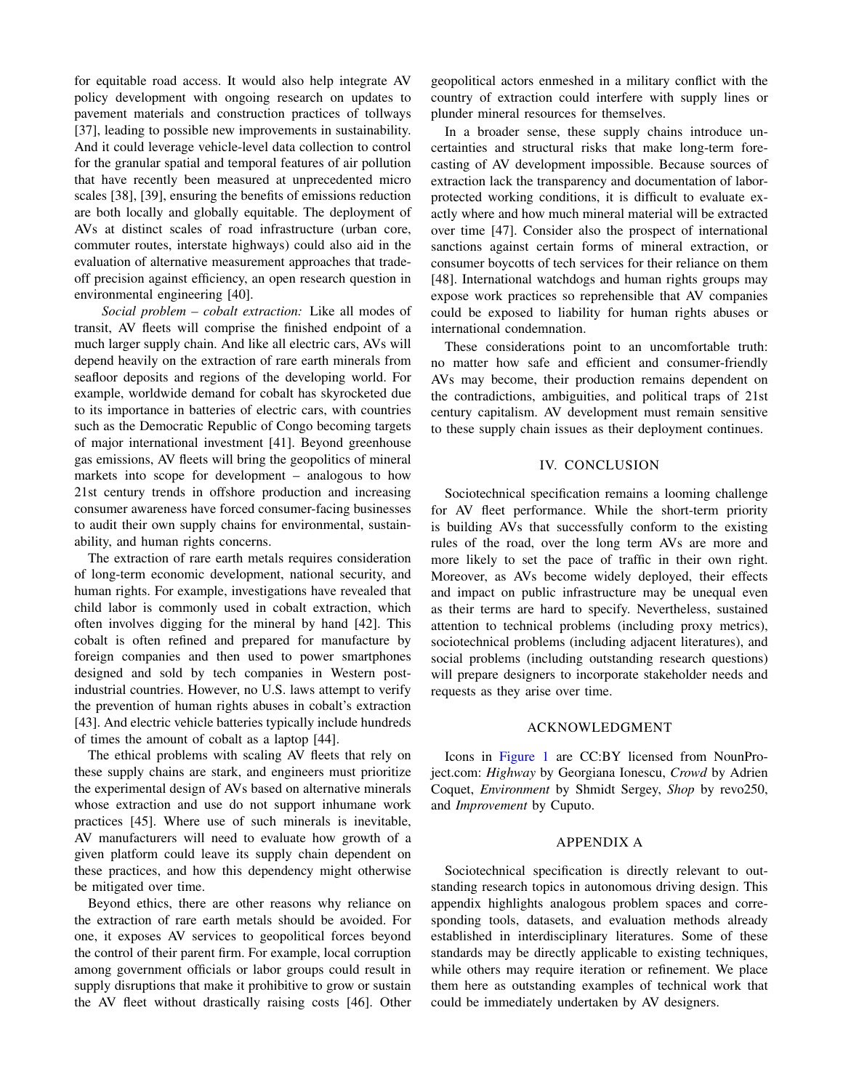for equitable road access. It would also help integrate AV policy development with ongoing research on updates to pavement materials and construction practices of tollways [37], leading to possible new improvements in sustainability. And it could leverage vehicle-level data collection to control for the granular spatial and temporal features of air pollution that have recently been measured at unprecedented micro scales [38], [39], ensuring the benefits of emissions reduction are both locally and globally equitable. The deployment of AVs at distinct scales of road infrastructure (urban core, commuter routes, interstate highways) could also aid in the evaluation of alternative measurement approaches that tradeoff precision against efficiency, an open research question in environmental engineering [40].

*Social problem – cobalt extraction:* Like all modes of transit, AV fleets will comprise the finished endpoint of a much larger supply chain. And like all electric cars, AVs will depend heavily on the extraction of rare earth minerals from seafloor deposits and regions of the developing world. For example, worldwide demand for cobalt has skyrocketed due to its importance in batteries of electric cars, with countries such as the Democratic Republic of Congo becoming targets of major international investment [41]. Beyond greenhouse gas emissions, AV fleets will bring the geopolitics of mineral markets into scope for development – analogous to how 21st century trends in offshore production and increasing consumer awareness have forced consumer-facing businesses to audit their own supply chains for environmental, sustainability, and human rights concerns.

The extraction of rare earth metals requires consideration of long-term economic development, national security, and human rights. For example, investigations have revealed that child labor is commonly used in cobalt extraction, which often involves digging for the mineral by hand [42]. This cobalt is often refined and prepared for manufacture by foreign companies and then used to power smartphones designed and sold by tech companies in Western postindustrial countries. However, no U.S. laws attempt to verify the prevention of human rights abuses in cobalt's extraction [43]. And electric vehicle batteries typically include hundreds of times the amount of cobalt as a laptop [44].

The ethical problems with scaling AV fleets that rely on these supply chains are stark, and engineers must prioritize the experimental design of AVs based on alternative minerals whose extraction and use do not support inhumane work practices [45]. Where use of such minerals is inevitable, AV manufacturers will need to evaluate how growth of a given platform could leave its supply chain dependent on these practices, and how this dependency might otherwise be mitigated over time.

Beyond ethics, there are other reasons why reliance on the extraction of rare earth metals should be avoided. For one, it exposes AV services to geopolitical forces beyond the control of their parent firm. For example, local corruption among government officials or labor groups could result in supply disruptions that make it prohibitive to grow or sustain the AV fleet without drastically raising costs [46]. Other

geopolitical actors enmeshed in a military conflict with the country of extraction could interfere with supply lines or plunder mineral resources for themselves.

In a broader sense, these supply chains introduce uncertainties and structural risks that make long-term forecasting of AV development impossible. Because sources of extraction lack the transparency and documentation of laborprotected working conditions, it is difficult to evaluate exactly where and how much mineral material will be extracted over time [47]. Consider also the prospect of international sanctions against certain forms of mineral extraction, or consumer boycotts of tech services for their reliance on them [48]. International watchdogs and human rights groups may expose work practices so reprehensible that AV companies could be exposed to liability for human rights abuses or international condemnation.

These considerations point to an uncomfortable truth: no matter how safe and efficient and consumer-friendly AVs may become, their production remains dependent on the contradictions, ambiguities, and political traps of 21st century capitalism. AV development must remain sensitive to these supply chain issues as their deployment continues.

#### IV. CONCLUSION

<span id="page-5-0"></span>Sociotechnical specification remains a looming challenge for AV fleet performance. While the short-term priority is building AVs that successfully conform to the existing rules of the road, over the long term AVs are more and more likely to set the pace of traffic in their own right. Moreover, as AVs become widely deployed, their effects and impact on public infrastructure may be unequal even as their terms are hard to specify. Nevertheless, sustained attention to technical problems (including proxy metrics), sociotechnical problems (including adjacent literatures), and social problems (including outstanding research questions) will prepare designers to incorporate stakeholder needs and requests as they arise over time.

#### ACKNOWLEDGMENT

Icons in [Figure 1](#page-2-0) are CC:BY licensed from NounProject.com: *Highway* by Georgiana Ionescu, *Crowd* by Adrien Coquet, *Environment* by Shmidt Sergey, *Shop* by revo250, and *Improvement* by Cuputo.

# APPENDIX A

Sociotechnical specification is directly relevant to outstanding research topics in autonomous driving design. This appendix highlights analogous problem spaces and corresponding tools, datasets, and evaluation methods already established in interdisciplinary literatures. Some of these standards may be directly applicable to existing techniques, while others may require iteration or refinement. We place them here as outstanding examples of technical work that could be immediately undertaken by AV designers.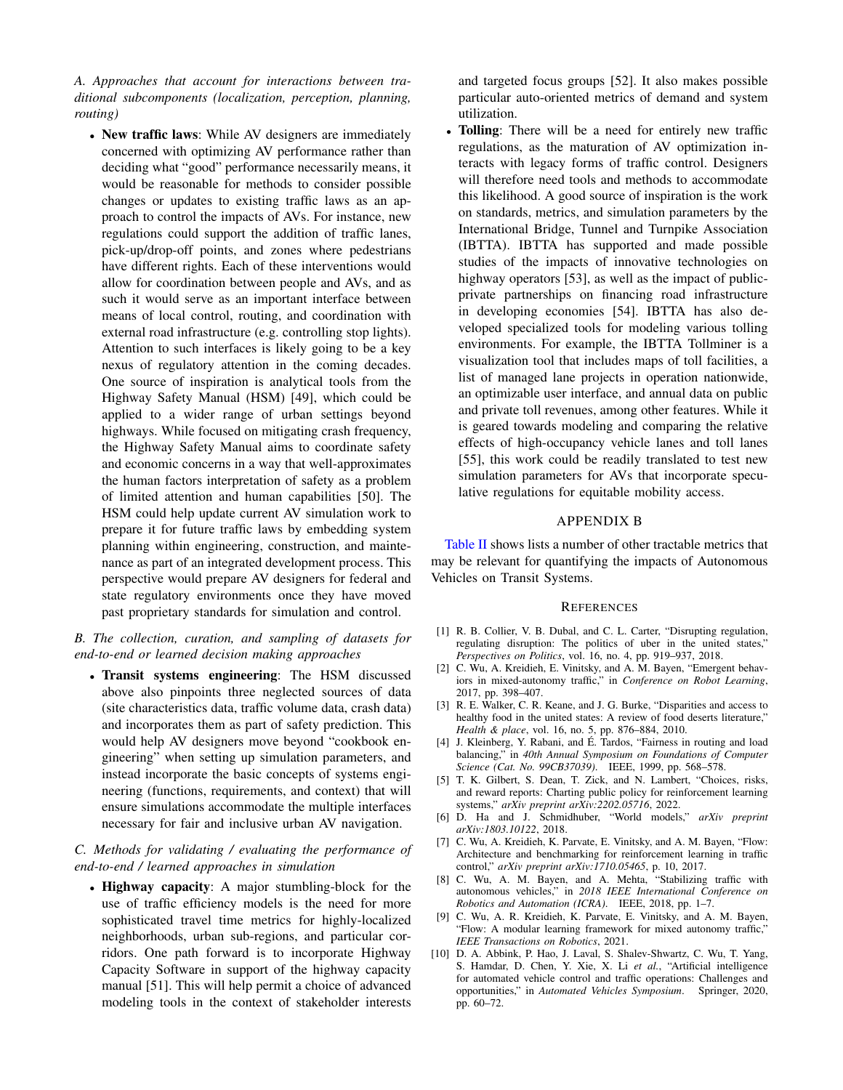*A. Approaches that account for interactions between traditional subcomponents (localization, perception, planning, routing)*

' New traffic laws: While AV designers are immediately concerned with optimizing AV performance rather than deciding what "good" performance necessarily means, it would be reasonable for methods to consider possible changes or updates to existing traffic laws as an approach to control the impacts of AVs. For instance, new regulations could support the addition of traffic lanes, pick-up/drop-off points, and zones where pedestrians have different rights. Each of these interventions would allow for coordination between people and AVs, and as such it would serve as an important interface between means of local control, routing, and coordination with external road infrastructure (e.g. controlling stop lights). Attention to such interfaces is likely going to be a key nexus of regulatory attention in the coming decades. One source of inspiration is analytical tools from the Highway Safety Manual (HSM) [49], which could be applied to a wider range of urban settings beyond highways. While focused on mitigating crash frequency, the Highway Safety Manual aims to coordinate safety and economic concerns in a way that well-approximates the human factors interpretation of safety as a problem of limited attention and human capabilities [50]. The HSM could help update current AV simulation work to prepare it for future traffic laws by embedding system planning within engineering, construction, and maintenance as part of an integrated development process. This perspective would prepare AV designers for federal and state regulatory environments once they have moved past proprietary standards for simulation and control.

# *B. The collection, curation, and sampling of datasets for end-to-end or learned decision making approaches*

' Transit systems engineering: The HSM discussed above also pinpoints three neglected sources of data (site characteristics data, traffic volume data, crash data) and incorporates them as part of safety prediction. This would help AV designers move beyond "cookbook engineering" when setting up simulation parameters, and instead incorporate the basic concepts of systems engineering (functions, requirements, and context) that will ensure simulations accommodate the multiple interfaces necessary for fair and inclusive urban AV navigation.

# *C. Methods for validating / evaluating the performance of end-to-end / learned approaches in simulation*

• Highway capacity: A major stumbling-block for the use of traffic efficiency models is the need for more sophisticated travel time metrics for highly-localized neighborhoods, urban sub-regions, and particular corridors. One path forward is to incorporate Highway Capacity Software in support of the highway capacity manual [51]. This will help permit a choice of advanced modeling tools in the context of stakeholder interests

and targeted focus groups [52]. It also makes possible particular auto-oriented metrics of demand and system utilization.

' Tolling: There will be a need for entirely new traffic regulations, as the maturation of AV optimization interacts with legacy forms of traffic control. Designers will therefore need tools and methods to accommodate this likelihood. A good source of inspiration is the work on standards, metrics, and simulation parameters by the International Bridge, Tunnel and Turnpike Association (IBTTA). IBTTA has supported and made possible studies of the impacts of innovative technologies on highway operators [53], as well as the impact of publicprivate partnerships on financing road infrastructure in developing economies [54]. IBTTA has also developed specialized tools for modeling various tolling environments. For example, the IBTTA Tollminer is a visualization tool that includes maps of toll facilities, a list of managed lane projects in operation nationwide, an optimizable user interface, and annual data on public and private toll revenues, among other features. While it is geared towards modeling and comparing the relative effects of high-occupancy vehicle lanes and toll lanes [55], this work could be readily translated to test new simulation parameters for AVs that incorporate speculative regulations for equitable mobility access.

# APPENDIX B

[Table II](#page-7-0) shows lists a number of other tractable metrics that may be relevant for quantifying the impacts of Autonomous Vehicles on Transit Systems.

#### **REFERENCES**

- [1] R. B. Collier, V. B. Dubal, and C. L. Carter, "Disrupting regulation, regulating disruption: The politics of uber in the united states," *Perspectives on Politics*, vol. 16, no. 4, pp. 919–937, 2018.
- [2] C. Wu, A. Kreidieh, E. Vinitsky, and A. M. Bayen, "Emergent behaviors in mixed-autonomy traffic," in *Conference on Robot Learning*, 2017, pp. 398–407.
- [3] R. E. Walker, C. R. Keane, and J. G. Burke, "Disparities and access to healthy food in the united states: A review of food deserts literature," *Health & place*, vol. 16, no. 5, pp. 876–884, 2010.
- [4] J. Kleinberg, Y. Rabani, and É. Tardos, "Fairness in routing and load balancing," in *40th Annual Symposium on Foundations of Computer Science (Cat. No. 99CB37039)*. IEEE, 1999, pp. 568–578.
- [5] T. K. Gilbert, S. Dean, T. Zick, and N. Lambert, "Choices, risks, and reward reports: Charting public policy for reinforcement learning systems," *arXiv preprint arXiv:2202.05716*, 2022.
- [6] D. Ha and J. Schmidhuber, "World models," *arXiv preprint arXiv:1803.10122*, 2018.
- [7] C. Wu, A. Kreidieh, K. Parvate, E. Vinitsky, and A. M. Bayen, "Flow: Architecture and benchmarking for reinforcement learning in traffic control," *arXiv preprint arXiv:1710.05465*, p. 10, 2017.
- [8] C. Wu, A. M. Bayen, and A. Mehta, "Stabilizing traffic with autonomous vehicles," in *2018 IEEE International Conference on Robotics and Automation (ICRA)*. IEEE, 2018, pp. 1–7.
- [9] C. Wu, A. R. Kreidieh, K. Parvate, E. Vinitsky, and A. M. Bayen, "Flow: A modular learning framework for mixed autonomy traffic," *IEEE Transactions on Robotics*, 2021.
- [10] D. A. Abbink, P. Hao, J. Laval, S. Shalev-Shwartz, C. Wu, T. Yang, S. Hamdar, D. Chen, Y. Xie, X. Li *et al.*, "Artificial intelligence for automated vehicle control and traffic operations: Challenges and opportunities," in *Automated Vehicles Symposium*. Springer, 2020, pp. 60–72.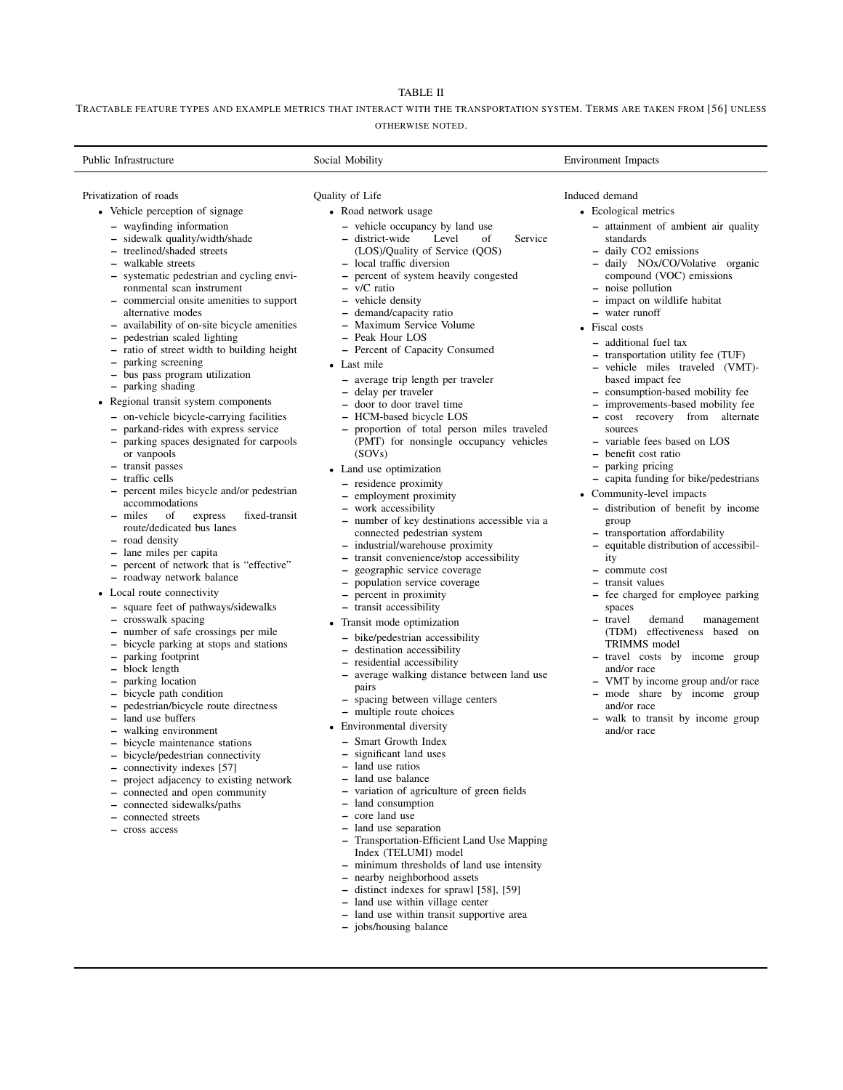# TABLE II

<span id="page-7-0"></span>TRACTABLE FEATURE TYPES AND EXAMPLE METRICS THAT INTERACT WITH THE TRANSPORTATION SYSTEM. TERMS ARE TAKEN FROM [56] UNLESS OTHERWISE NOTED.

| Public Infrastructure                                                                                                                                                                                                                                                                                                                                                                                                                                                                                                                                                                                                                                                                                                                                                                                                                                                                                                                                                                                                                                                                                                                                                                                                                                                                                                                                                                                                                            | Social Mobility                                                                                                                                                                                                                                                                                                                                                                                                                                                                                                                                                                                                                                                                                                                                                                                                                                                                                                                                                                                                                                                                                                                                                                                                                                                                                                                   | <b>Environment Impacts</b>                                                                                                                                                                                                                                                                                                                                                                                                                                                                                                                                                                                                                                                                                                                                                                                                                                                                                                                                                                                                                                                                                                                                                          |
|--------------------------------------------------------------------------------------------------------------------------------------------------------------------------------------------------------------------------------------------------------------------------------------------------------------------------------------------------------------------------------------------------------------------------------------------------------------------------------------------------------------------------------------------------------------------------------------------------------------------------------------------------------------------------------------------------------------------------------------------------------------------------------------------------------------------------------------------------------------------------------------------------------------------------------------------------------------------------------------------------------------------------------------------------------------------------------------------------------------------------------------------------------------------------------------------------------------------------------------------------------------------------------------------------------------------------------------------------------------------------------------------------------------------------------------------------|-----------------------------------------------------------------------------------------------------------------------------------------------------------------------------------------------------------------------------------------------------------------------------------------------------------------------------------------------------------------------------------------------------------------------------------------------------------------------------------------------------------------------------------------------------------------------------------------------------------------------------------------------------------------------------------------------------------------------------------------------------------------------------------------------------------------------------------------------------------------------------------------------------------------------------------------------------------------------------------------------------------------------------------------------------------------------------------------------------------------------------------------------------------------------------------------------------------------------------------------------------------------------------------------------------------------------------------|-------------------------------------------------------------------------------------------------------------------------------------------------------------------------------------------------------------------------------------------------------------------------------------------------------------------------------------------------------------------------------------------------------------------------------------------------------------------------------------------------------------------------------------------------------------------------------------------------------------------------------------------------------------------------------------------------------------------------------------------------------------------------------------------------------------------------------------------------------------------------------------------------------------------------------------------------------------------------------------------------------------------------------------------------------------------------------------------------------------------------------------------------------------------------------------|
|                                                                                                                                                                                                                                                                                                                                                                                                                                                                                                                                                                                                                                                                                                                                                                                                                                                                                                                                                                                                                                                                                                                                                                                                                                                                                                                                                                                                                                                  |                                                                                                                                                                                                                                                                                                                                                                                                                                                                                                                                                                                                                                                                                                                                                                                                                                                                                                                                                                                                                                                                                                                                                                                                                                                                                                                                   |                                                                                                                                                                                                                                                                                                                                                                                                                                                                                                                                                                                                                                                                                                                                                                                                                                                                                                                                                                                                                                                                                                                                                                                     |
| Privatization of roads<br>• Vehicle perception of signage<br>- wayfinding information<br>- sidewalk quality/width/shade<br>- treelined/shaded streets<br>- walkable streets<br>- systematic pedestrian and cycling envi-<br>ronmental scan instrument<br>- commercial onsite amenities to support<br>alternative modes<br>- availability of on-site bicycle amenities<br>pedestrian scaled lighting<br>$\qquad \qquad -$<br>- ratio of street width to building height<br>parking screening<br>- bus pass program utilization<br>- parking shading<br>• Regional transit system components<br>- on-vehicle bicycle-carrying facilities<br>parkand-rides with express service<br>- parking spaces designated for carpools<br>or vanpools<br>- transit passes<br>- traffic cells<br>- percent miles bicycle and/or pedestrian<br>accommodations<br>of<br>fixed-transit<br>- miles<br>express<br>route/dedicated bus lanes<br>- road density<br>- lane miles per capita<br>- percent of network that is "effective"<br>- roadway network balance<br>• Local route connectivity<br>- square feet of pathways/sidewalks<br>- crosswalk spacing<br>- number of safe crossings per mile<br>- bicycle parking at stops and stations<br>- parking footprint<br>- block length<br>- parking location<br>- bicycle path condition<br>- pedestrian/bicycle route directness<br>- land use buffers<br>- walking environment<br>- bicycle maintenance stations | Quality of Life<br>• Road network usage<br>- vehicle occupancy by land use<br>- district-wide<br>Level<br>of<br>Service<br>(LOS)/Quality of Service (QOS)<br>- local traffic diversion<br>- percent of system heavily congested<br>$-$ v/C ratio<br>- vehicle density<br>- demand/capacity ratio<br>- Maximum Service Volume<br>- Peak Hour LOS<br>- Percent of Capacity Consumed<br>• Last mile<br>- average trip length per traveler<br>- delay per traveler<br>- door to door travel time<br>- HCM-based bicycle LOS<br>- proportion of total person miles traveled<br>(PMT) for nonsingle occupancy vehicles<br>(SOVs)<br>• Land use optimization<br>- residence proximity<br>- employment proximity<br>- work accessibility<br>- number of key destinations accessible via a<br>connected pedestrian system<br>- industrial/warehouse proximity<br>- transit convenience/stop accessibility<br>geographic service coverage<br>- population service coverage<br>- percent in proximity<br>- transit accessibility<br>Transit mode optimization<br>- bike/pedestrian accessibility<br>- destination accessibility<br>- residential accessibility<br>- average walking distance between land use<br>pairs<br>- spacing between village centers<br>- multiple route choices<br>• Environmental diversity<br>- Smart Growth Index | Induced demand<br>• Ecological metrics<br>- attainment of ambient air quality<br>standards<br>- daily CO2 emissions<br>- daily NOx/CO/Volative organic<br>compound (VOC) emissions<br>- noise pollution<br>- impact on wildlife habitat<br>- water runoff<br>• Fiscal costs<br>- additional fuel tax<br>- transportation utility fee (TUF)<br>- vehicle miles traveled (VMT)-<br>based impact fee<br>- consumption-based mobility fee<br>- improvements-based mobility fee<br>- cost recovery from alternate<br>sources<br>- variable fees based on LOS<br>- benefit cost ratio<br>- parking pricing<br>- capita funding for bike/pedestrians<br>• Community-level impacts<br>- distribution of benefit by income<br>group<br>- transportation affordability<br>- equitable distribution of accessibil-<br>ity<br>$-$ commute cost<br>- transit values<br>- fee charged for employee parking<br>spaces<br>- travel<br>demand<br>management<br>(TDM) effectiveness based on<br>TRIMMS model<br>- travel costs by income group<br>and/or race<br>- VMT by income group and/or race<br>- mode share by income group<br>and/or race<br>- walk to transit by income group<br>and/or race |
| - bicycle/pedestrian connectivity                                                                                                                                                                                                                                                                                                                                                                                                                                                                                                                                                                                                                                                                                                                                                                                                                                                                                                                                                                                                                                                                                                                                                                                                                                                                                                                                                                                                                | - significant land uses                                                                                                                                                                                                                                                                                                                                                                                                                                                                                                                                                                                                                                                                                                                                                                                                                                                                                                                                                                                                                                                                                                                                                                                                                                                                                                           |                                                                                                                                                                                                                                                                                                                                                                                                                                                                                                                                                                                                                                                                                                                                                                                                                                                                                                                                                                                                                                                                                                                                                                                     |

- connectivity indexes [57]
- project adjacency to existing network
- connected and open community
- connected sidewalks/paths
- connected streets
- cross access
- land use separation
- Index (TELUMI) model
- 
- nearby neighborhood assets
	-
- land use within village center
- land use within transit supportive area
- jobs/housing balance
- land use ratios
- land use balance
- variation of agriculture of green fields
- land consumption
- core land use
- 
- Transportation-Efficient Land Use Mapping
- minimum thresholds of land use intensity
- 
- distinct indexes for sprawl [58], [59]
	-
- - -
-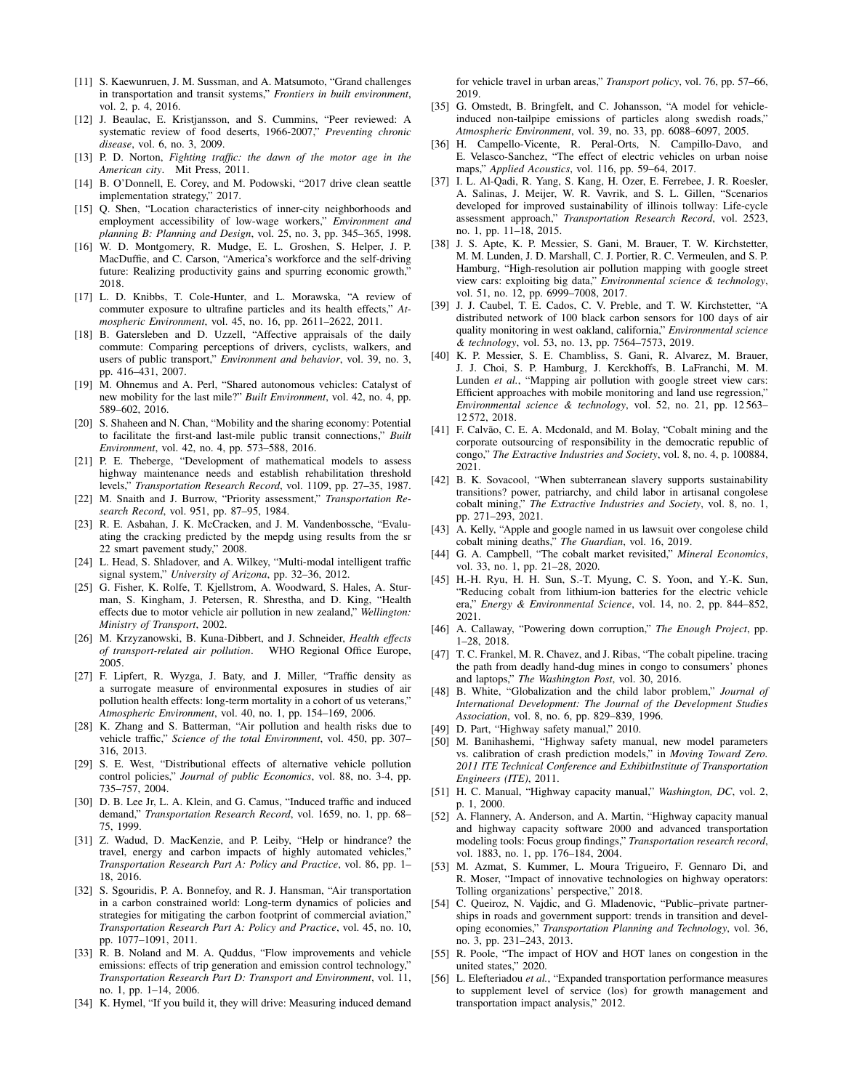- [11] S. Kaewunruen, J. M. Sussman, and A. Matsumoto, "Grand challenges in transportation and transit systems," *Frontiers in built environment*, vol. 2, p. 4, 2016.
- [12] J. Beaulac, E. Kristjansson, and S. Cummins, "Peer reviewed: A systematic review of food deserts, 1966-2007," *Preventing chronic disease*, vol. 6, no. 3, 2009.
- [13] P. D. Norton, *Fighting traffic: the dawn of the motor age in the American city*. Mit Press, 2011.
- [14] B. O'Donnell, E. Corey, and M. Podowski, "2017 drive clean seattle implementation strategy," 2017.
- [15] Q. Shen, "Location characteristics of inner-city neighborhoods and employment accessibility of low-wage workers," *Environment and planning B: Planning and Design*, vol. 25, no. 3, pp. 345–365, 1998.
- [16] W. D. Montgomery, R. Mudge, E. L. Groshen, S. Helper, J. P. MacDuffie, and C. Carson, "America's workforce and the self-driving future: Realizing productivity gains and spurring economic growth," 2018.
- [17] L. D. Knibbs, T. Cole-Hunter, and L. Morawska, "A review of commuter exposure to ultrafine particles and its health effects," *Atmospheric Environment*, vol. 45, no. 16, pp. 2611–2622, 2011.
- [18] B. Gatersleben and D. Uzzell, "Affective appraisals of the daily commute: Comparing perceptions of drivers, cyclists, walkers, and users of public transport," *Environment and behavior*, vol. 39, no. 3, pp. 416–431, 2007.
- [19] M. Ohnemus and A. Perl, "Shared autonomous vehicles: Catalyst of new mobility for the last mile?" *Built Environment*, vol. 42, no. 4, pp. 589–602, 2016.
- [20] S. Shaheen and N. Chan, "Mobility and the sharing economy: Potential to facilitate the first-and last-mile public transit connections," *Built Environment*, vol. 42, no. 4, pp. 573–588, 2016.
- [21] P. E. Theberge, "Development of mathematical models to assess highway maintenance needs and establish rehabilitation threshold levels," *Transportation Research Record*, vol. 1109, pp. 27–35, 1987.
- [22] M. Snaith and J. Burrow, "Priority assessment," *Transportation Research Record*, vol. 951, pp. 87–95, 1984.
- [23] R. E. Asbahan, J. K. McCracken, and J. M. Vandenbossche, "Evaluating the cracking predicted by the mepdg using results from the sr 22 smart pavement study," 2008.
- [24] L. Head, S. Shladover, and A. Wilkey, "Multi-modal intelligent traffic signal system," *University of Arizona*, pp. 32–36, 2012.
- [25] G. Fisher, K. Rolfe, T. Kjellstrom, A. Woodward, S. Hales, A. Sturman, S. Kingham, J. Petersen, R. Shrestha, and D. King, "Health effects due to motor vehicle air pollution in new zealand," *Wellington: Ministry of Transport*, 2002.
- [26] M. Krzyzanowski, B. Kuna-Dibbert, and J. Schneider, *Health effects of transport-related air pollution*. WHO Regional Office Europe, 2005.
- [27] F. Lipfert, R. Wyzga, J. Baty, and J. Miller, "Traffic density as a surrogate measure of environmental exposures in studies of air pollution health effects: long-term mortality in a cohort of us veterans," *Atmospheric Environment*, vol. 40, no. 1, pp. 154–169, 2006.
- [28] K. Zhang and S. Batterman, "Air pollution and health risks due to vehicle traffic," *Science of the total Environment*, vol. 450, pp. 307– 316, 2013.
- [29] S. E. West, "Distributional effects of alternative vehicle pollution control policies," *Journal of public Economics*, vol. 88, no. 3-4, pp. 735–757, 2004.
- [30] D. B. Lee Jr, L. A. Klein, and G. Camus, "Induced traffic and induced demand," *Transportation Research Record*, vol. 1659, no. 1, pp. 68– 75, 1999.
- [31] Z. Wadud, D. MacKenzie, and P. Leiby, "Help or hindrance? the travel, energy and carbon impacts of highly automated vehicles," *Transportation Research Part A: Policy and Practice*, vol. 86, pp. 1– 18, 2016.
- [32] S. Sgouridis, P. A. Bonnefoy, and R. J. Hansman, "Air transportation in a carbon constrained world: Long-term dynamics of policies and strategies for mitigating the carbon footprint of commercial aviation," *Transportation Research Part A: Policy and Practice*, vol. 45, no. 10, pp. 1077–1091, 2011.
- [33] R. B. Noland and M. A. Quddus, "Flow improvements and vehicle emissions: effects of trip generation and emission control technology,' *Transportation Research Part D: Transport and Environment*, vol. 11, no. 1, pp. 1–14, 2006.
- [34] K. Hymel, "If you build it, they will drive: Measuring induced demand

for vehicle travel in urban areas," *Transport policy*, vol. 76, pp. 57–66, 2019.

- [35] G. Omstedt, B. Bringfelt, and C. Johansson, "A model for vehicleinduced non-tailpipe emissions of particles along swedish roads," *Atmospheric Environment*, vol. 39, no. 33, pp. 6088–6097, 2005.
- [36] H. Campello-Vicente, R. Peral-Orts, N. Campillo-Davo, and E. Velasco-Sanchez, "The effect of electric vehicles on urban noise maps," *Applied Acoustics*, vol. 116, pp. 59–64, 2017.
- [37] I. L. Al-Qadi, R. Yang, S. Kang, H. Ozer, E. Ferrebee, J. R. Roesler, A. Salinas, J. Meijer, W. R. Vavrik, and S. L. Gillen, "Scenarios developed for improved sustainability of illinois tollway: Life-cycle assessment approach," *Transportation Research Record*, vol. 2523, no. 1, pp. 11–18, 2015.
- [38] J. S. Apte, K. P. Messier, S. Gani, M. Brauer, T. W. Kirchstetter, M. M. Lunden, J. D. Marshall, C. J. Portier, R. C. Vermeulen, and S. P. Hamburg, "High-resolution air pollution mapping with google street view cars: exploiting big data," *Environmental science & technology*, vol. 51, no. 12, pp. 6999–7008, 2017.
- [39] J. J. Caubel, T. E. Cados, C. V. Preble, and T. W. Kirchstetter, "A distributed network of 100 black carbon sensors for 100 days of air quality monitoring in west oakland, california," *Environmental science & technology*, vol. 53, no. 13, pp. 7564–7573, 2019.
- [40] K. P. Messier, S. E. Chambliss, S. Gani, R. Alvarez, M. Brauer, J. J. Choi, S. P. Hamburg, J. Kerckhoffs, B. LaFranchi, M. M. Lunden *et al.*, "Mapping air pollution with google street view cars: Efficient approaches with mobile monitoring and land use regression," *Environmental science & technology*, vol. 52, no. 21, pp. 12 563– 12 572, 2018.
- [41] F. Calvão, C. E. A. Mcdonald, and M. Bolay, "Cobalt mining and the corporate outsourcing of responsibility in the democratic republic of congo," *The Extractive Industries and Society*, vol. 8, no. 4, p. 100884, 2021.
- [42] B. K. Sovacool, "When subterranean slavery supports sustainability transitions? power, patriarchy, and child labor in artisanal congolese cobalt mining," *The Extractive Industries and Society*, vol. 8, no. 1, pp. 271–293, 2021.
- [43] A. Kelly, "Apple and google named in us lawsuit over congolese child cobalt mining deaths," *The Guardian*, vol. 16, 2019.
- [44] G. A. Campbell, "The cobalt market revisited," *Mineral Economics*, vol. 33, no. 1, pp. 21–28, 2020.
- [45] H.-H. Ryu, H. H. Sun, S.-T. Myung, C. S. Yoon, and Y.-K. Sun, "Reducing cobalt from lithium-ion batteries for the electric vehicle era," *Energy & Environmental Science*, vol. 14, no. 2, pp. 844–852, 2021.
- [46] A. Callaway, "Powering down corruption," *The Enough Project*, pp. 1–28, 2018.
- [47] T. C. Frankel, M. R. Chavez, and J. Ribas, "The cobalt pipeline. tracing the path from deadly hand-dug mines in congo to consumers' phones and laptops," *The Washington Post*, vol. 30, 2016.
- [48] B. White, "Globalization and the child labor problem," *Journal of International Development: The Journal of the Development Studies Association*, vol. 8, no. 6, pp. 829–839, 1996.
- [49] D. Part, "Highway safety manual," 2010.
- [50] M. Banihashemi, "Highway safety manual, new model parameters vs. calibration of crash prediction models," in *Moving Toward Zero. 2011 ITE Technical Conference and ExhibitInstitute of Transportation Engineers (ITE)*, 2011.
- [51] H. C. Manual, "Highway capacity manual," *Washington, DC*, vol. 2, p. 1, 2000.
- [52] A. Flannery, A. Anderson, and A. Martin, "Highway capacity manual and highway capacity software 2000 and advanced transportation modeling tools: Focus group findings," *Transportation research record*, vol. 1883, no. 1, pp. 176–184, 2004.
- [53] M. Azmat, S. Kummer, L. Moura Trigueiro, F. Gennaro Di, and R. Moser, "Impact of innovative technologies on highway operators: Tolling organizations' perspective," 2018.
- [54] C. Queiroz, N. Vajdic, and G. Mladenovic, "Public–private partnerships in roads and government support: trends in transition and developing economies," *Transportation Planning and Technology*, vol. 36, no. 3, pp. 231–243, 2013.
- [55] R. Poole, "The impact of HOV and HOT lanes on congestion in the united states," 2020.
- [56] L. Elefteriadou *et al.*, "Expanded transportation performance measures to supplement level of service (los) for growth management and transportation impact analysis," 2012.